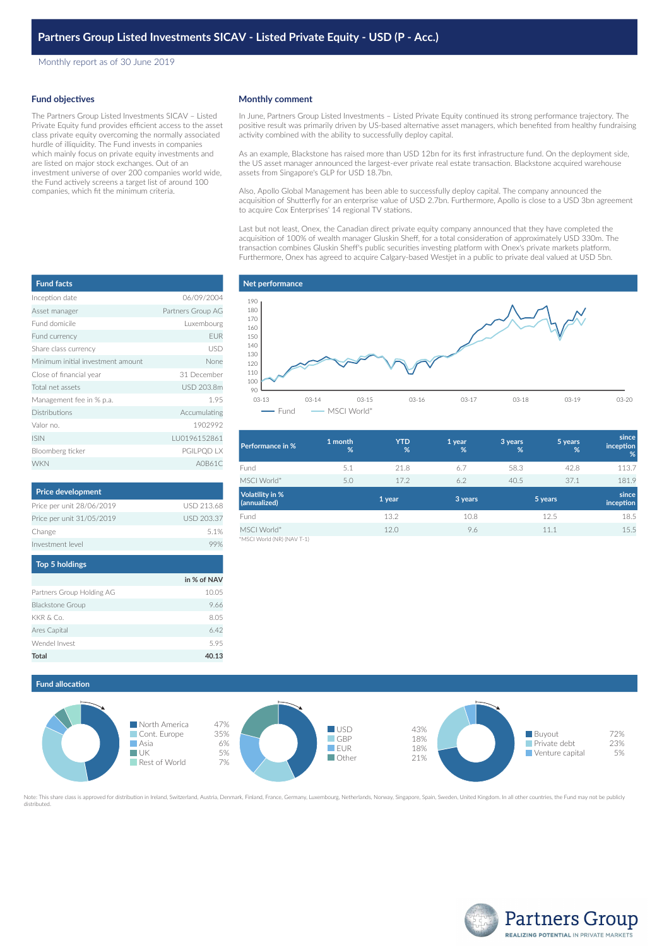Monthly report as of 30 June 2019

## **Fund objectives**

The Partners Group Listed Investments SICAV – Listed Private Equity fund provides efficient access to the asset class private equity overcoming the normally associated hurdle of illiquidity. The Fund invests in companies which mainly focus on private equity investments and are listed on major stock exchanges. Out of an investment universe of over 200 companies world wide, the Fund actively screens a target list of around 100 companies, which fit the minimum criteria.

## **Monthly comment**

In June, Partners Group Listed Investments – Listed Private Equity continued its strong performance trajectory. The positive result was primarily driven by US-based alternative asset managers, which benefited from healthy fundraising activity combined with the ability to successfully deploy capital.

As an example, Blackstone has raised more than USD 12bn for its first infrastructure fund. On the deployment side, the US asset manager announced the largest-ever private real estate transaction. Blackstone acquired warehouse assets from Singapore's GLP for USD 18.7bn.

Also, Apollo Global Management has been able to successfully deploy capital. The company announced the acquisition of Shutterfly for an enterprise value of USD 2.7bn. Furthermore, Apollo is close to a USD 3bn agreement to acquire Cox Enterprises' 14 regional TV stations.

Last but not least, Onex, the Canadian direct private equity company announced that they have completed the acquisition of 100% of wealth manager Gluskin Sheff, for a total consideration of approximately USD 330m. The transaction combines Gluskin Sheff's public securities investing platform with Onex's private markets platform. Furthermore, Onex has agreed to acquire Calgary-based Westjet in a public to private deal valued at USD 5bn.

| <b>Fund facts</b>                 |                   |  |  |
|-----------------------------------|-------------------|--|--|
| Inception date                    | 06/09/2004        |  |  |
| Asset manager                     | Partners Group AG |  |  |
| Fund domicile<br>Luxembourg       |                   |  |  |
| Fund currency                     | <b>EUR</b>        |  |  |
| Share class currency              | USD               |  |  |
| Minimum initial investment amount | None              |  |  |
| Close of financial year           | 31 December       |  |  |
| Total net assets                  | USD 203.8m        |  |  |
| Management fee in % p.a.          | 1.95              |  |  |
| <b>Distributions</b>              | Accumulating      |  |  |
| Valor no.                         | 1902992           |  |  |
| <b>ISIN</b>                       | LU0196152861      |  |  |
| Bloomberg ticker                  | PGILPQD LX        |  |  |
| <b>WKN</b>                        | A0B61C            |  |  |

| <b>Price development</b>  |            |
|---------------------------|------------|
| Price per unit 28/06/2019 | USD 213.68 |
| Price per unit 31/05/2019 | USD 203.37 |
| Change                    | 51%        |
| Investment level          |            |

| <b>Top 5 holdings</b>     |             |
|---------------------------|-------------|
|                           | in % of NAV |
| Partners Group Holding AG | 10.05       |
| <b>Blackstone Group</b>   | 9.66        |
| KKR & Co.                 | 8.05        |
| Ares Capital              | 6.42        |
| Wendel Invest             | 5.95        |
| Total                     |             |



| <b>Performance in %</b>                   | 1 month<br>% | <b>YTD</b><br>% | 1 year<br>% | 3 years<br>% | 5 years<br>% | since<br><i>inception</i><br>% |
|-------------------------------------------|--------------|-----------------|-------------|--------------|--------------|--------------------------------|
| Fund                                      | 5.1          | 21.8            | 6.7         | 58.3         | 42.8         | 113.7                          |
| MSCI World*                               | 5.0          | 17.2            | 6.2         | 40.5         | 37.1         | 181.9                          |
| <b>Volatility in %</b><br>(annualized)    |              | 1 year          | 3 years     | 5 years      |              | since<br>inception             |
| Fund                                      |              | 13.2            | 10.8        |              | 12.5         | 18.5                           |
| MSCI World*<br>A ACCELSATION IN A LAST AS |              | 12.0            | 9.6         | 11.1         |              | 15.5                           |

MSCI World (NR) (NAV T-1)





Note: This share class is approved for distribution in Ireland, Switzerland, Austria, Denmark, Finland, France, Germany, Luxembourg, Netherlands, Norway, Singapore, Spain, Sweden, United Kingdom. In all other countries, th